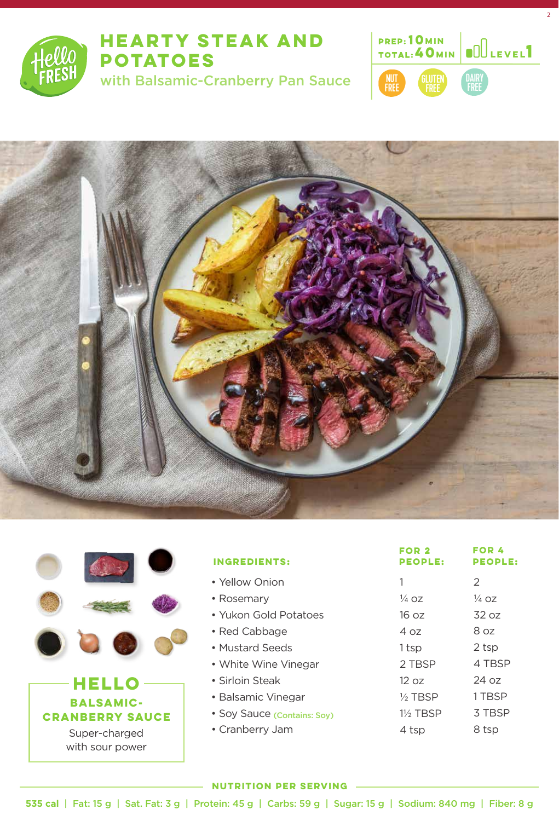

# **HEARTY STEAK AND POTATOES**

with Balsamic-Cranberry Pan Sauce



2



|  |                        | <b>INGREDIENTS:</b>         | FOR 2<br><b>PEOPLE:</b> | FOR 4<br><b>PEOPLE:</b> |
|--|------------------------|-----------------------------|-------------------------|-------------------------|
|  |                        | • Yellow Onion              |                         | 2                       |
|  |                        | • Rosemary                  | $\frac{1}{4}$ OZ        | $\frac{1}{4}$ OZ        |
|  |                        | • Yukon Gold Potatoes       | 16 oz                   | 32 oz                   |
|  |                        | • Red Cabbage               | 4 oz                    | 8 oz                    |
|  |                        | • Mustard Seeds             | 1 tsp                   | 2 tsp                   |
|  |                        | • White Wine Vinegar        | 2 TBSP                  | 4 TBSP                  |
|  | HELL                   | • Sirloin Steak             | 12 oz                   | 24 oz                   |
|  | <b>BALSAMIC-</b>       | • Balsamic Vinegar          | $\frac{1}{2}$ TBSP      | 1 TBSP                  |
|  | <b>CRANBERRY SAUCE</b> | • Soy Sauce (Contains: Soy) | 11/ <sub>2</sub> TBSP   | 3 TBSP                  |
|  | Super-charged          | • Cranberry Jam             | 4 tsp                   | 8 tsp                   |
|  | with sour power        |                             |                         |                         |

#### **NUTRITION PER SERVING**